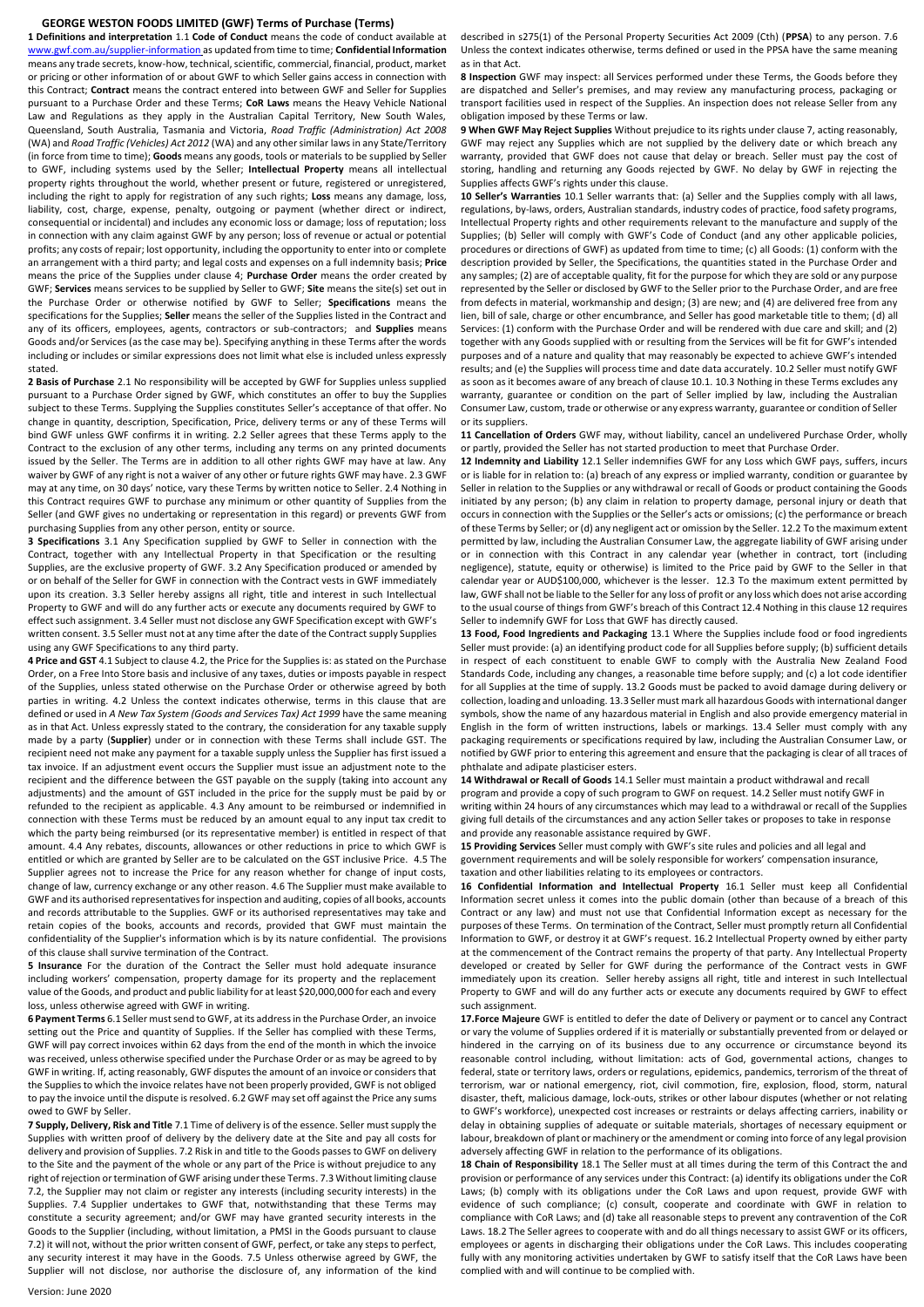## **GEORGE WESTON FOODS LIMITED (GWF) Terms of Purchase (Terms)**

**1 Definitions and interpretation** 1.1 **Code of Conduct** means the code of conduct available at [www.gwf.com.au/supplier-information](http://www.gwf.com.au/supplier-information) as updated from time to time; **Confidential Information** means any trade secrets, know-how, technical, scientific, commercial, financial, product, market or pricing or other information of or about GWF to which Seller gains access in connection with this Contract; **Contract** means the contract entered into between GWF and Seller for Supplies pursuant to a Purchase Order and these Terms; **CoR Laws** means the Heavy Vehicle National Law and Regulations as they apply in the Australian Capital Territory, New South Wales, Queensland, South Australia, Tasmania and Victoria, *Road Traffic (Administration) Act 2008* (WA) and *Road Traffic (Vehicles) Act 2012* (WA) and any other similar laws in any State/Territory (in force from time to time); **Goods** means any goods, tools or materials to be supplied by Seller to GWF, including systems used by the Seller; **Intellectual Property** means all intellectual property rights throughout the world, whether present or future, registered or unregistered, including the right to apply for registration of any such rights; **Loss** means any damage, loss, liability, cost, charge, expense, penalty, outgoing or payment (whether direct or indirect, consequential or incidental) and includes any economic loss or damage; loss of reputation; loss in connection with any claim against GWF by any person; loss of revenue or actual or potential profits; any costs of repair; lost opportunity, including the opportunity to enter into or complete an arrangement with a third party; and legal costs and expenses on a full indemnity basis; **Price** means the price of the Supplies under clause 4; **Purchase Order** means the order created by GWF; **Services** means services to be supplied by Seller to GWF; **Site** means the site(s) set out in the Purchase Order or otherwise notified by GWF to Seller; **Specifications** means the specifications for the Supplies; **Seller** means the seller of the Supplies listed in the Contract and any of its officers, employees, agents, contractors or sub-contractors; and **Supplies** means Goods and/or Services (as the case may be). Specifying anything in these Terms after the words including or includes or similar expressions does not limit what else is included unless expressly stated.

**2 Basis of Purchase** 2.1 No responsibility will be accepted by GWF for Supplies unless supplied pursuant to a Purchase Order signed by GWF, which constitutes an offer to buy the Supplies subject to these Terms. Supplying the Supplies constitutes Seller's acceptance of that offer. No change in quantity, description, Specification, Price, delivery terms or any of these Terms will bind GWF unless GWF confirms it in writing. 2.2 Seller agrees that these Terms apply to the Contract to the exclusion of any other terms, including any terms on any printed documents issued by the Seller. The Terms are in addition to all other rights GWF may have at law. Any waiver by GWF of any right is not a waiver of any other or future rights GWF may have. 2.3 GWF may at any time, on 30 days' notice, vary these Terms by written notice to Seller. 2.4 Nothing in this Contract requires GWF to purchase any minimum or other quantity of Supplies from the Seller (and GWF gives no undertaking or representation in this regard) or prevents GWF from purchasing Supplies from any other person, entity or source.

**3 Specifications** 3.1 Any Specification supplied by GWF to Seller in connection with the Contract, together with any Intellectual Property in that Specification or the resulting Supplies, are the exclusive property of GWF. 3.2 Any Specification produced or amended by or on behalf of the Seller for GWF in connection with the Contract vests in GWF immediately upon its creation. 3.3 Seller hereby assigns all right, title and interest in such Intellectual Property to GWF and will do any further acts or execute any documents required by GWF to effect such assignment. 3.4 Seller must not disclose any GWF Specification except with GWF's written consent. 3.5 Seller must not at any time after the date of the Contract supply Supplies using any GWF Specifications to any third party.

**4 Price and GST** 4.1 Subject to clause 4.2, the Price for the Supplies is: as stated on the Purchase Order, on a Free Into Store basis and inclusive of any taxes, duties or imposts payable in respect of the Supplies, unless stated otherwise on the Purchase Order or otherwise agreed by both parties in writing. 4.2 Unless the context indicates otherwise, terms in this clause that are defined or used in *A New Tax System (Goods and Services Tax) Act 1999* have the same meaning as in that Act. Unless expressly stated to the contrary, the consideration for any taxable supply made by a party (**Supplier**) under or in connection with these Terms shall include GST. The recipient need not make any payment for a taxable supply unless the Supplier has first issued a tax invoice. If an adjustment event occurs the Supplier must issue an adjustment note to the recipient and the difference between the GST payable on the supply (taking into account any adjustments) and the amount of GST included in the price for the supply must be paid by or refunded to the recipient as applicable. 4.3 Any amount to be reimbursed or indemnified in connection with these Terms must be reduced by an amount equal to any input tax credit to which the party being reimbursed (or its representative member) is entitled in respect of that amount. 4.4 Any rebates, discounts, allowances or other reductions in price to which GWF is entitled or which are granted by Seller are to be calculated on the GST inclusive Price. 4.5 The Supplier agrees not to increase the Price for any reason whether for change of input costs, change of law, currency exchange or any other reason. 4.6 The Supplier must make available to GWF and its authorised representatives for inspection and auditing, copies of all books, accounts and records attributable to the Supplies. GWF or its authorised representatives may take and retain copies of the books, accounts and records, provided that GWF must maintain the confidentiality of the Supplier's information which is by its nature confidential. The provisions of this clause shall survive termination of the Contract.

**5 Insurance** For the duration of the Contract the Seller must hold adequate insurance including workers' compensation, property damage for its property and the replacement value of the Goods, and product and public liability for at least \$20,000,000 for each and every loss, unless otherwise agreed with GWF in writing.

**6 Payment Terms** 6.1 Seller must send to GWF, at its address in the Purchase Order, an invoice setting out the Price and quantity of Supplies. If the Seller has complied with these Terms, GWF will pay correct invoices within 62 days from the end of the month in which the invoice was received, unless otherwise specified under the Purchase Order or as may be agreed to by GWF in writing. If, acting reasonably, GWF disputes the amount of an invoice or considers that the Supplies to which the invoice relates have not been properly provided, GWF is not obliged to pay the invoice until the dispute is resolved. 6.2 GWF may set off against the Price any sums owed to GWF by Seller.

**7 Supply, Delivery, Risk and Title** 7.1 Time of delivery is of the essence. Seller must supply the Supplies with written proof of delivery by the delivery date at the Site and pay all costs for delivery and provision of Supplies. 7.2 Risk in and title to the Goods passes to GWF on delivery to the Site and the payment of the whole or any part of the Price is without prejudice to any right of rejection or termination of GWF arising under these Terms. 7.3 Without limiting clause 7.2, the Supplier may not claim or register any interests (including security interests) in the Supplies. 7.4 Supplier undertakes to GWF that, notwithstanding that these Terms may constitute a security agreement; and/or GWF may have granted security interests in the Goods to the Supplier (including, without limitation, a PMSI in the Goods pursuant to clause 7.2) it will not, without the prior written consent of GWF, perfect, or take any steps to perfect, any security interest it may have in the Goods. 7.5 Unless otherwise agreed by GWF, the Supplier will not disclose, nor authorise the disclosure of, any information of the kind described in s275(1) of the Personal Property Securities Act 2009 (Cth) (**PPSA**) to any person. 7.6 Unless the context indicates otherwise, terms defined or used in the PPSA have the same meaning as in that Act.

**8 Inspection** GWF may inspect: all Services performed under these Terms, the Goods before they are dispatched and Seller's premises, and may review any manufacturing process, packaging or transport facilities used in respect of the Supplies. An inspection does not release Seller from any obligation imposed by these Terms or law.

**9 When GWF May Reject Supplies** Without prejudice to its rights under clause 7, acting reasonably, GWF may reject any Supplies which are not supplied by the delivery date or which breach any warranty, provided that GWF does not cause that delay or breach. Seller must pay the cost of storing, handling and returning any Goods rejected by GWF. No delay by GWF in rejecting the Supplies affects GWF's rights under this clause.

**10 Seller's Warranties** 10.1 Seller warrants that: (a) Seller and the Supplies comply with all laws, regulations, by-laws, orders, Australian standards, industry codes of practice, food safety programs, Intellectual Property rights and other requirements relevant to the manufacture and supply of the Supplies; (b) Seller will comply with GWF's Code of Conduct (and any other applicable policies, procedures or directions of GWF) as updated from time to time; (c) all Goods: (1) conform with the description provided by Seller, the Specifications, the quantities stated in the Purchase Order and any samples; (2) are of acceptable quality, fit for the purpose for which they are sold or any purpose represented by the Seller or disclosed by GWF to the Seller prior to the Purchase Order, and are free from defects in material, workmanship and design; (3) are new; and (4) are delivered free from any lien, bill of sale, charge or other encumbrance, and Seller has good marketable title to them; (d) all Services: (1) conform with the Purchase Order and will be rendered with due care and skill; and (2) together with any Goods supplied with or resulting from the Services will be fit for GWF's intended purposes and of a nature and quality that may reasonably be expected to achieve GWF's intended results; and (e) the Supplies will process time and date data accurately. 10.2 Seller must notify GWF as soon as it becomes aware of any breach of clause 10.1. 10.3 Nothing in these Terms excludes any warranty, guarantee or condition on the part of Seller implied by law, including the Australian Consumer Law, custom, trade or otherwise or any express warranty, guarantee or condition of Seller or its suppliers.

**11 Cancellation of Orders** GWF may, without liability, cancel an undelivered Purchase Order, wholly or partly, provided the Seller has not started production to meet that Purchase Order.

**12 Indemnity and Liability** 12.1 Seller indemnifies GWF for any Loss which GWF pays, suffers, incurs or is liable for in relation to: (a) breach of any express or implied warranty, condition or guarantee by Seller in relation to the Supplies or any withdrawal or recall of Goods or product containing the Goods initiated by any person; (b) any claim in relation to property damage, personal injury or death that occurs in connection with the Supplies or the Seller's acts or omissions; (c) the performance or breach of these Terms by Seller; or (d) any negligent act or omission by the Seller. 12.2 To the maximum extent permitted by law, including the Australian Consumer Law, the aggregate liability of GWF arising under or in connection with this Contract in any calendar year (whether in contract, tort (including negligence), statute, equity or otherwise) is limited to the Price paid by GWF to the Seller in that calendar year or AUD\$100,000, whichever is the lesser. 12.3 To the maximum extent permitted by law, GWF shall not be liable to the Seller for any loss of profit or any loss which does not arise according to the usual course of things from GWF's breach of this Contract 12.4 Nothing in this clause 12 requires Seller to indemnify GWF for Loss that GWF has directly caused.

**13 Food, Food Ingredients and Packaging** 13.1 Where the Supplies include food or food ingredients Seller must provide: (a) an identifying product code for all Supplies before supply; (b) sufficient details in respect of each constituent to enable GWF to comply with the Australia New Zealand Food Standards Code, including any changes, a reasonable time before supply; and (c) a lot code identifier for all Supplies at the time of supply. 13.2 Goods must be packed to avoid damage during delivery or collection, loading and unloading. 13.3 Seller must mark all hazardous Goods with international danger symbols, show the name of any hazardous material in English and also provide emergency material in English in the form of written instructions, labels or markings. 13.4 Seller must comply with any packaging requirements or specifications required by law, including the Australian Consumer Law, or notified by GWF prior to entering this agreement and ensure that the packaging is clear of all traces of phthalate and adipate plasticiser esters.

**14 Withdrawal or Recall of Goods** 14.1 Seller must maintain a product withdrawal and recall program and provide a copy of such program to GWF on request. 14.2 Seller must notify GWF in writing within 24 hours of any circumstances which may lead to a withdrawal or recall of the Supplies giving full details of the circumstances and any action Seller takes or proposes to take in response and provide any reasonable assistance required by GWF.

**15 Providing Services** Seller must comply with GWF's site rules and policies and all legal and government requirements and will be solely responsible for workers' compensation insurance, taxation and other liabilities relating to its employees or contractors.

**16 Confidential Information and Intellectual Property** 16.1 Seller must keep all Confidential Information secret unless it comes into the public domain (other than because of a breach of this Contract or any law) and must not use that Confidential Information except as necessary for the purposes of these Terms. On termination of the Contract, Seller must promptly return all Confidential Information to GWF, or destroy it at GWF's request. 16.2 Intellectual Property owned by either party at the commencement of the Contract remains the property of that party. Any Intellectual Property developed or created by Seller for GWF during the performance of the Contract vests in GWF immediately upon its creation. Seller hereby assigns all right, title and interest in such Intellectual Property to GWF and will do any further acts or execute any documents required by GWF to effect such assignment.

**17.Force Majeure** GWF is entitled to defer the date of Delivery or payment or to cancel any Contract or vary the volume of Supplies ordered if it is materially or substantially prevented from or delayed or hindered in the carrying on of its business due to any occurrence or circumstance beyond its reasonable control including, without limitation: acts of God, governmental actions, changes to federal, state or territory laws, orders or regulations, epidemics, pandemics, terrorism of the threat of terrorism, war or national emergency, riot, civil commotion, fire, explosion, flood, storm, natural disaster, theft, malicious damage, lock-outs, strikes or other labour disputes (whether or not relating to GWF's workforce), unexpected cost increases or restraints or delays affecting carriers, inability or delay in obtaining supplies of adequate or suitable materials, shortages of necessary equipment or labour, breakdown of plant or machinery or the amendment or coming into force of any legal provision adversely affecting GWF in relation to the performance of its obligations.

**18 Chain of Responsibility** 18.1 The Seller must at all times during the term of this Contract the and provision or performance of any services under this Contract: (a) identify its obligations under the CoR Laws; (b) comply with its obligations under the CoR Laws and upon request, provide GWF with evidence of such compliance; (c) consult, cooperate and coordinate with GWF in relation to compliance with CoR Laws; and (d) take all reasonable steps to prevent any contravention of the CoR Laws. 18.2 The Seller agrees to cooperate with and do all things necessary to assist GWF or its officers, employees or agents in discharging their obligations under the CoR Laws. This includes cooperating fully with any monitoring activities undertaken by GWF to satisfy itself that the CoR Laws have been complied with and will continue to be complied with.